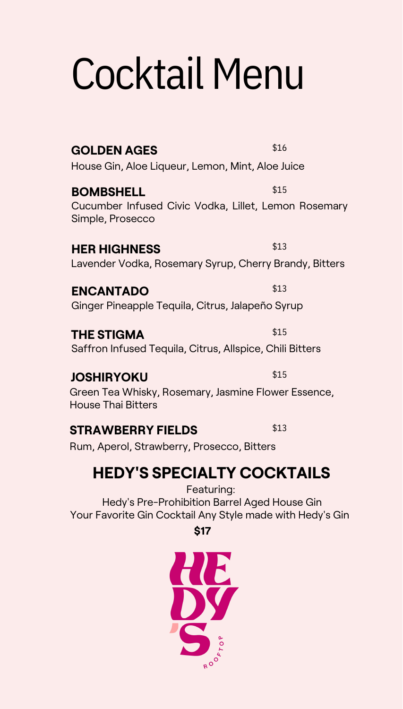### Cocktail Menu

**GOLDEN AGES** \$16 House Gin, Aloe Liqueur, Lemon, Mint, Aloe Juice

**BOMBSHELL** \$15 Cucumber Infused Civic Vodka, Lillet, Lemon Rosemary Simple, Prosecco

**HER HIGHNESS** \$13 Lavender Vodka, Rosemary Syrup, Cherry Brandy, Bitters

**ENCANTADO** \$13 Ginger Pineapple Tequila, Citrus, Jalapeño Syrup

**THE STIGMA** \$15 Saffron Infused Tequila, Citrus, Allspice, Chili Bitters

#### **JOSHIRYOKU** \$15

Green Tea Whisky, Rosemary, Jasmine Flower Essence, House Thai Bitters

#### **STRAWBERRY FIELDS** \$13

Rum, Aperol, Strawberry, Prosecco, Bitters

#### **HEDY'S SPECIALTY COCKTAILS**

Featuring: Hedy's Pre-Prohibition Barrel Aged House Gin Your Favorite Gin Cocktail Any Style made with Hedy's Gin

**\$17**

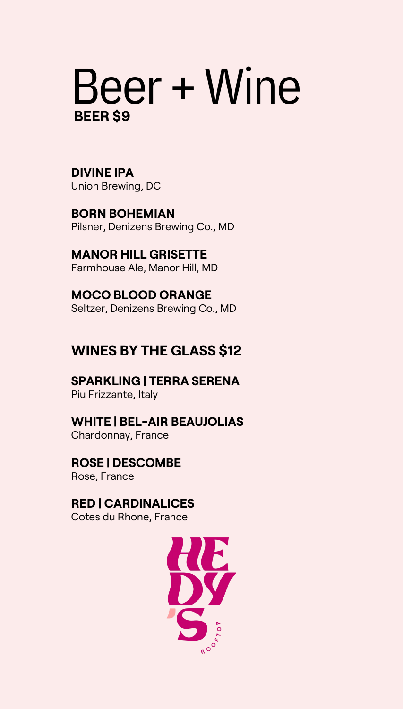### Beer + Wine **BEER \$9**

 Union Brewing, DC **DIVINE IPA**

 Pilsner, Denizens Brewing Co., MD **BORN BOHEMIAN**

 **MANOR HILL GRISETTE** Farmhouse Ale, Manor Hill, MD

 **MOCO BLOOD ORANGE** Seltzer, Denizens Brewing Co., MD

#### **WINES BY THE GLASS \$12**

 **SPARKLING | TERRA SERENA** Piu Frizzante, Italy

 **WHITE | BEL-AIR BEAUJOLIAS**

Chardonnay, France

 **ROSE | DESCOMBE** Rose, France

#### **RED | CARDINALICES**

Cotes du Rhone, France

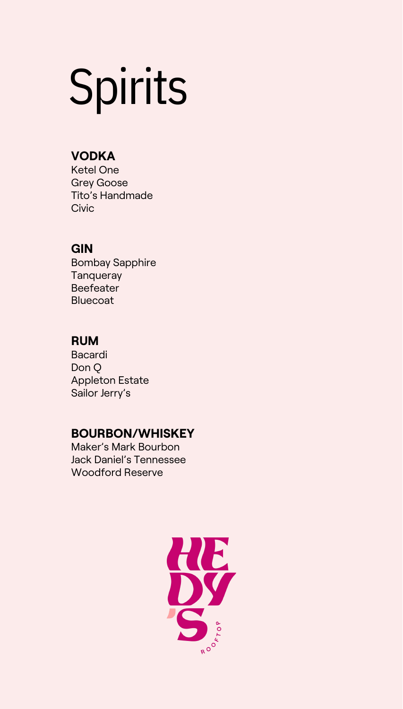## Spirits

#### **VODKA**

Ketel One Grey Goose Tito's Handmade **Civic** 

#### **GIN**

Bombay Sapphire **Tanqueray Beefeater Bluecoat** 

#### **RUM**

Bacardi Don Q Appleton Estate Sailor Jerry's

#### **BOURBON/WHISKEY**

Maker's Mark Bourbon Jack Daniel's Tennessee Woodford Reserve